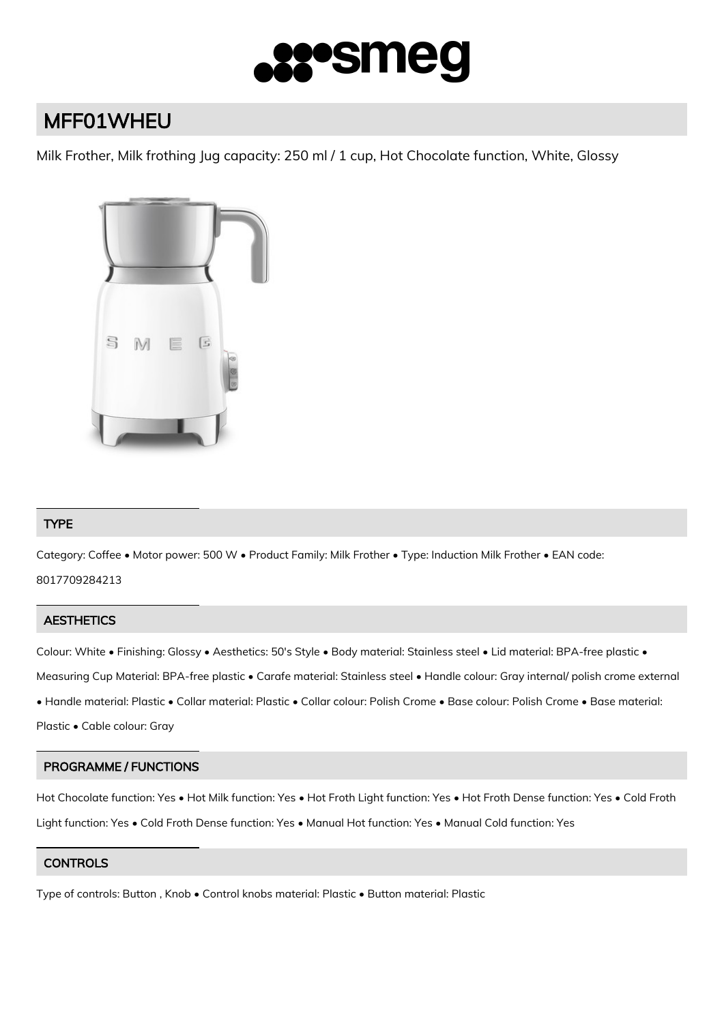

# MFF01WHEU

Milk Frother, Milk frothing Jug capacity: 250 ml / 1 cup, Hot Chocolate function, White, Glossy



# TYPE

Category: Coffee • Motor power: 500 W • Product Family: Milk Frother • Type: Induction Milk Frother • EAN code: 8017709284213

# **AESTHETICS**

Colour: White • Finishing: Glossy • Aesthetics: 50's Style • Body material: Stainless steel • Lid material: BPA-free plastic • Measuring Cup Material: BPA-free plastic • Carafe material: Stainless steel • Handle colour: Gray internal/ polish crome external • Handle material: Plastic • Collar material: Plastic • Collar colour: Polish Crome • Base colour: Polish Crome • Base material: Plastic • Cable colour: Gray

# PROGRAMME / FUNCTIONS

Hot Chocolate function: Yes • Hot Milk function: Yes • Hot Froth Light function: Yes • Hot Froth Dense function: Yes • Cold Froth Light function: Yes • Cold Froth Dense function: Yes • Manual Hot function: Yes • Manual Cold function: Yes

# **CONTROLS**

Type of controls: Button , Knob • Control knobs material: Plastic • Button material: Plastic